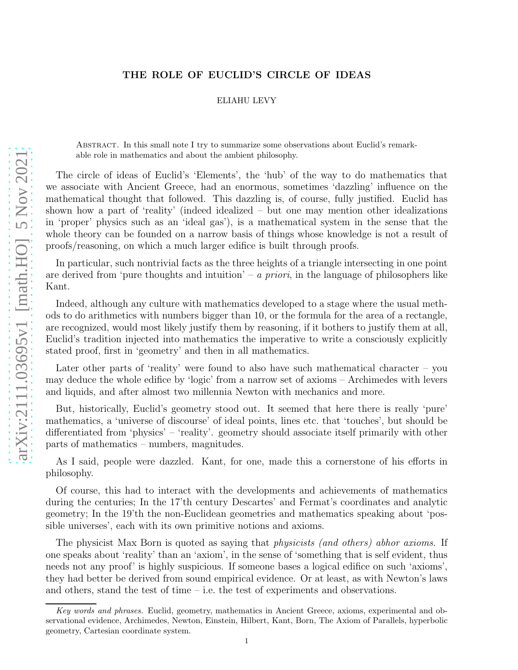## THE ROLE OF EUCLID'S CIRCLE OF IDEAS

## ELIAHU LEVY

Abstract. In this small note I try to summarize some observations about Euclid's remarkable role in mathematics and about the ambient philosophy.

The circle of ideas of Euclid's 'Elements', the 'hub' of the way to do mathematics that we associate with Ancient Greece, had an enormous, sometimes 'dazzling' influence on the mathematical thought that followed. This dazzling is, of course, fully justified. Euclid has shown how a part of 'reality' (indeed idealized – but one may mention other idealizations in 'proper' physics such as an 'ideal gas'), is a mathematical system in the sense that the whole theory can be founded on a narrow basis of things whose knowledge is not a result of proofs/reasoning, on which a much larger edifice is built through proofs.

In particular, such nontrivial facts as the three heights of a triangle intersecting in one point are derived from 'pure thoughts and intuition' – a priori, in the language of philosophers like Kant.

Indeed, although any culture with mathematics developed to a stage where the usual methods to do arithmetics with numbers bigger than 10, or the formula for the area of a rectangle, are recognized, would most likely justify them by reasoning, if it bothers to justify them at all, Euclid's tradition injected into mathematics the imperative to write a consciously explicitly stated proof, first in 'geometry' and then in all mathematics.

Later other parts of 'reality' were found to also have such mathematical character – you may deduce the whole edifice by 'logic' from a narrow set of axioms – Archimedes with levers and liquids, and after almost two millennia Newton with mechanics and more.

But, historically, Euclid's geometry stood out. It seemed that here there is really 'pure' mathematics, a 'universe of discourse' of ideal points, lines etc. that 'touches', but should be differentiated from 'physics' – 'reality'. geometry should associate itself primarily with other parts of mathematics – numbers, magnitudes.

As I said, people were dazzled. Kant, for one, made this a cornerstone of his efforts in philosophy.

Of course, this had to interact with the developments and achievements of mathematics during the centuries; In the 17'th century Descartes' and Fermat's coordinates and analytic geometry; In the 19'th the non-Euclidean geometries and mathematics speaking about 'possible universes', each with its own primitive notions and axioms.

The physicist Max Born is quoted as saying that *physicists (and others) abhor axioms*. If one speaks about 'reality' than an 'axiom', in the sense of 'something that is self evident, thus needs not any proof' is highly suspicious. If someone bases a logical edifice on such 'axioms', they had better be derived from sound empirical evidence. Or at least, as with Newton's laws and others, stand the test of time – i.e. the test of experiments and observations.

Key words and phrases. Euclid, geometry, mathematics in Ancient Greece, axioms, experimental and observational evidence, Archimedes, Newton, Einstein, Hilbert, Kant, Born, The Axiom of Parallels, hyperbolic geometry, Cartesian coordinate system.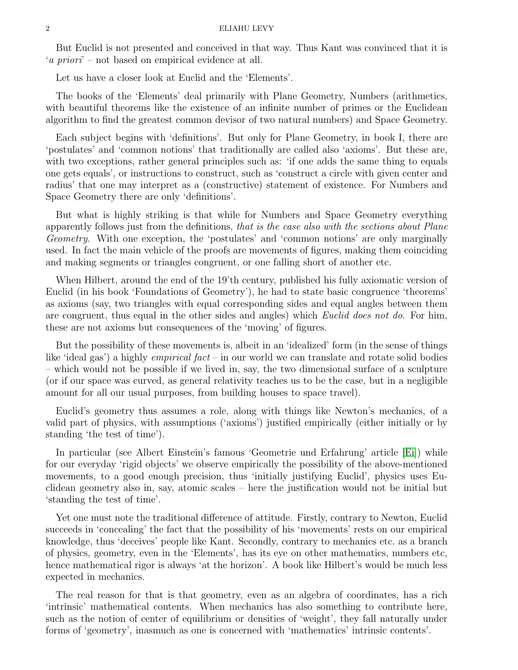But Euclid is not presented and conceived in that way. Thus Kant was convinced that it is 'a priori' – not based on empirical evidence at all.

Let us have a closer look at Euclid and the 'Elements'.

The books of the 'Elements' deal primarily with Plane Geometry, Numbers (arithmetics, with beautiful theorems like the existence of an infinite number of primes or the Euclidean algorithm to find the greatest common devisor of two natural numbers) and Space Geometry.

Each subject begins with 'definitions'. But only for Plane Geometry, in book I, there are 'postulates' and 'common notions' that traditionally are called also 'axioms'. But these are, with two exceptions, rather general principles such as: 'if one adds the same thing to equals one gets equals', or instructions to construct, such as 'construct a circle with given center and radius' that one may interpret as a (constructive) statement of existence. For Numbers and Space Geometry there are only 'definitions'.

But what is highly striking is that while for Numbers and Space Geometry everything apparently follows just from the definitions, that is the case also with the sections about Plane Geometry. With one exception, the 'postulates' and 'common notions' are only marginally used. In fact the main vehicle of the proofs are movements of figures, making them coinciding and making segments or triangles congruent, or one falling short of another etc.

When Hilbert, around the end of the 19'th century, published his fully axiomatic version of Euclid (in his book 'Foundations of Geometry'), he had to state basic congruence 'theorems' as axioms (say, two triangles with equal corresponding sides and equal angles between them are congruent, thus equal in the other sides and angles) which Euclid does not do. For him, these are not axioms but consequences of the 'moving' of figures.

But the possibility of these movements is, albeit in an 'idealized' form (in the sense of things like 'ideal gas') a highly *empirical fact* – in our world we can translate and rotate solid bodies – which would not be possible if we lived in, say, the two dimensional surface of a sculpture (or if our space was curved, as general relativity teaches us to be the case, but in a negligible amount for all our usual purposes, from building houses to space travel).

Euclid's geometry thus assumes a role, along with things like Newton's mechanics, of a valid part of physics, with assumptions ('axioms') justified empirically (either initially or by standing 'the test of time').

In particular (see Albert Einstein's famous 'Geometrie und Erfahrung' article [\[Ei\]](#page-2-0)) while for our everyday 'rigid objects' we observe empirically the possibility of the above-mentioned movements, to a good enough precision, thus 'initially justifying Euclid', physics uses Euclidean geometry also in, say, atomic scales – here the justification would not be initial but 'standing the test of time'.

Yet one must note the traditional difference of attitude. Firstly, contrary to Newton, Euclid succeeds in 'concealing' the fact that the possibility of his 'movements' rests on our empirical knowledge, thus 'deceives' people like Kant. Secondly, contrary to mechanics etc. as a branch of physics, geometry, even in the 'Elements', has its eye on other mathematics, numbers etc, hence mathematical rigor is always 'at the horizon'. A book like Hilbert's would be much less expected in mechanics.

The real reason for that is that geometry, even as an algebra of coordinates, has a rich 'intrinsic' mathematical contents. When mechanics has also something to contribute here, such as the notion of center of equilibrium or densities of 'weight', they fall naturally under forms of 'geometry', inasmuch as one is concerned with 'mathematics' intrinsic contents'.